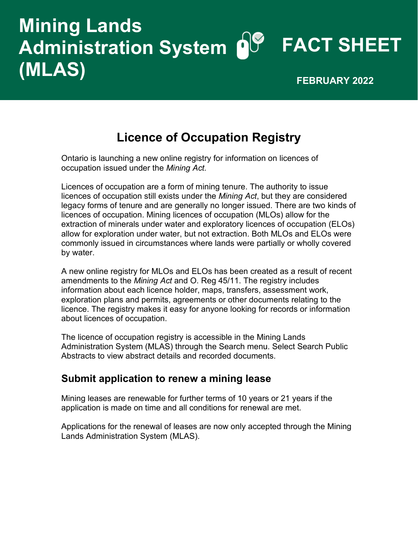# **Mining Lands Administration System FACT SHEET (MLAS) FEBRUARY 2022**

## **Licence of Occupation Registry**

Ontario is launching a new online registry for information on licences of occupation issued under the *Mining Act.* 

Licences of occupation are a form of mining tenure. The authority to issue licences of occupation still exists under the *Mining Act*, but they are considered legacy forms of tenure and are generally no longer issued. There are two kinds of licences of occupation. Mining licences of occupation (MLOs) allow for the extraction of minerals under water and exploratory licences of occupation (ELOs) allow for exploration under water, but not extraction. Both MLOs and ELOs were commonly issued in circumstances where lands were partially or wholly covered by water.

A new online registry for MLOs and ELOs has been created as a result of recent amendments to the *Mining Act* and O. Reg 45/11. The registry includes information about each licence holder, maps, transfers, assessment work, exploration plans and permits, agreements or other documents relating to the licence. The registry makes it easy for anyone looking for records or information about licences of occupation.

The licence of occupation registry is accessible in the Mining Lands Administration System (MLAS) through the Search menu. Select Search Public Abstracts to view abstract details and recorded documents.

### **Submit application to renew a mining lease**

Mining leases are renewable for further terms of 10 years or 21 years if the application is made on time and all conditions for renewal are met.

Applications for the renewal of leases are now only accepted through the Mining Lands Administration System (MLAS).